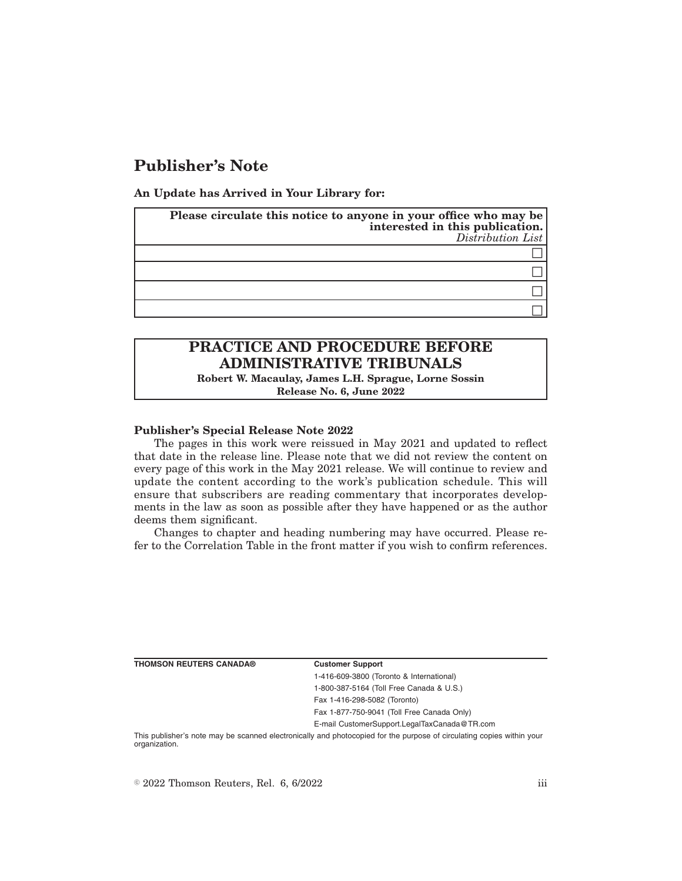## **Publisher's Note**

**An Update has Arrived in Your Library for:**

| Please circulate this notice to anyone in your office who may be<br>interested in this publication.<br>$Distribution$ List |
|----------------------------------------------------------------------------------------------------------------------------|
|                                                                                                                            |
|                                                                                                                            |
|                                                                                                                            |
|                                                                                                                            |

# **PRACTICE AND PROCEDURE BEFORE ADMINISTRATIVE TRIBUNALS**

**Robert W. Macaulay, James L.H. Sprague, Lorne Sossin Release No. 6, June 2022**

**Publisher's Special Release Note 2022**

The pages in this work were reissued in May 2021 and updated to reflect that date in the release line. Please note that we did not review the content on every page of this work in the May 2021 release. We will continue to review and update the content according to the work's publication schedule. This will ensure that subscribers are reading commentary that incorporates developments in the law as soon as possible after they have happened or as the author deems them significant.

Changes to chapter and heading numbering may have occurred. Please refer to the Correlation Table in the front matter if you wish to confirm references.

**THOMSON REUTERS CANADA® Customer Support**

1-416-609-3800 (Toronto & International) 1-800-387-5164 (Toll Free Canada & U.S.) Fax 1-416-298-5082 (Toronto) Fax 1-877-750-9041 (Toll Free Canada Only) E-mail CustomerSupport.LegalTaxCanada@TR.com

This publisher's note may be scanned electronically and photocopied for the purpose of circulating copies within your organization.

 $\degree$  2022 Thomson Reuters, Rel. 6, 6/2022 iii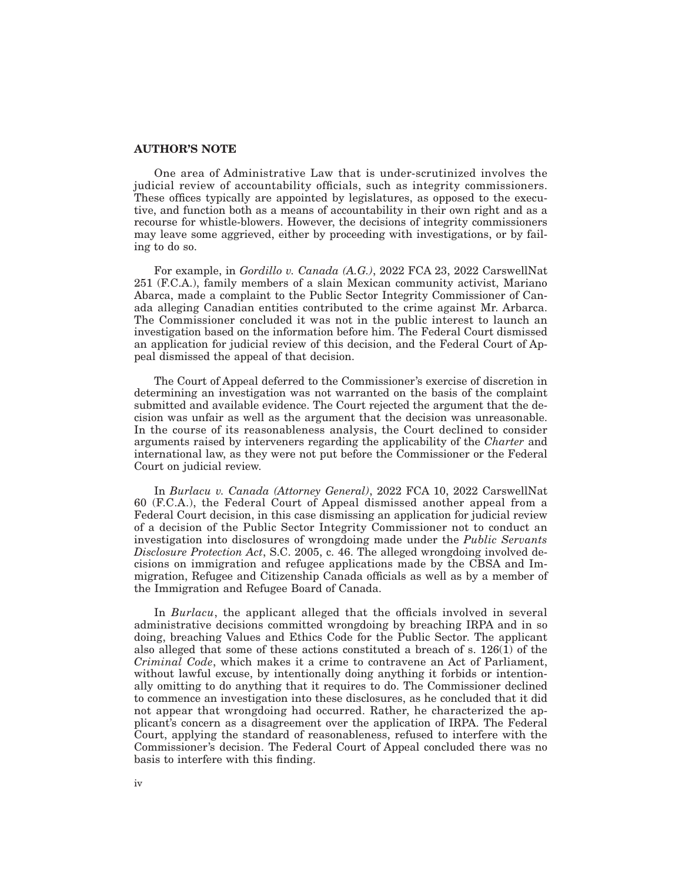### **AUTHOR'S NOTE**

One area of Administrative Law that is under-scrutinized involves the judicial review of accountability officials, such as integrity commissioners. These offices typically are appointed by legislatures, as opposed to the executive, and function both as a means of accountability in their own right and as a recourse for whistle-blowers. However, the decisions of integrity commissioners may leave some aggrieved, either by proceeding with investigations, or by failing to do so.

For example, in *Gordillo v. Canada (A.G.)*, 2022 FCA 23, 2022 CarswellNat 251 (F.C.A.), family members of a slain Mexican community activist, Mariano Abarca, made a complaint to the Public Sector Integrity Commissioner of Canada alleging Canadian entities contributed to the crime against Mr. Arbarca. The Commissioner concluded it was not in the public interest to launch an investigation based on the information before him. The Federal Court dismissed an application for judicial review of this decision, and the Federal Court of Appeal dismissed the appeal of that decision.

The Court of Appeal deferred to the Commissioner's exercise of discretion in determining an investigation was not warranted on the basis of the complaint submitted and available evidence. The Court rejected the argument that the decision was unfair as well as the argument that the decision was unreasonable. In the course of its reasonableness analysis, the Court declined to consider arguments raised by interveners regarding the applicability of the *Charter* and international law, as they were not put before the Commissioner or the Federal Court on judicial review.

In *Burlacu v. Canada (Attorney General)*, 2022 FCA 10, 2022 CarswellNat 60 (F.C.A.), the Federal Court of Appeal dismissed another appeal from a Federal Court decision, in this case dismissing an application for judicial review of a decision of the Public Sector Integrity Commissioner not to conduct an investigation into disclosures of wrongdoing made under the *Public Servants Disclosure Protection Act*, S.C. 2005, c. 46. The alleged wrongdoing involved decisions on immigration and refugee applications made by the CBSA and Immigration, Refugee and Citizenship Canada officials as well as by a member of the Immigration and Refugee Board of Canada.

In *Burlacu*, the applicant alleged that the officials involved in several administrative decisions committed wrongdoing by breaching IRPA and in so doing, breaching Values and Ethics Code for the Public Sector. The applicant also alleged that some of these actions constituted a breach of s. 126(1) of the *Criminal Code*, which makes it a crime to contravene an Act of Parliament, without lawful excuse, by intentionally doing anything it forbids or intentionally omitting to do anything that it requires to do. The Commissioner declined to commence an investigation into these disclosures, as he concluded that it did not appear that wrongdoing had occurred. Rather, he characterized the applicant's concern as a disagreement over the application of IRPA. The Federal Court, applying the standard of reasonableness, refused to interfere with the Commissioner's decision. The Federal Court of Appeal concluded there was no basis to interfere with this finding.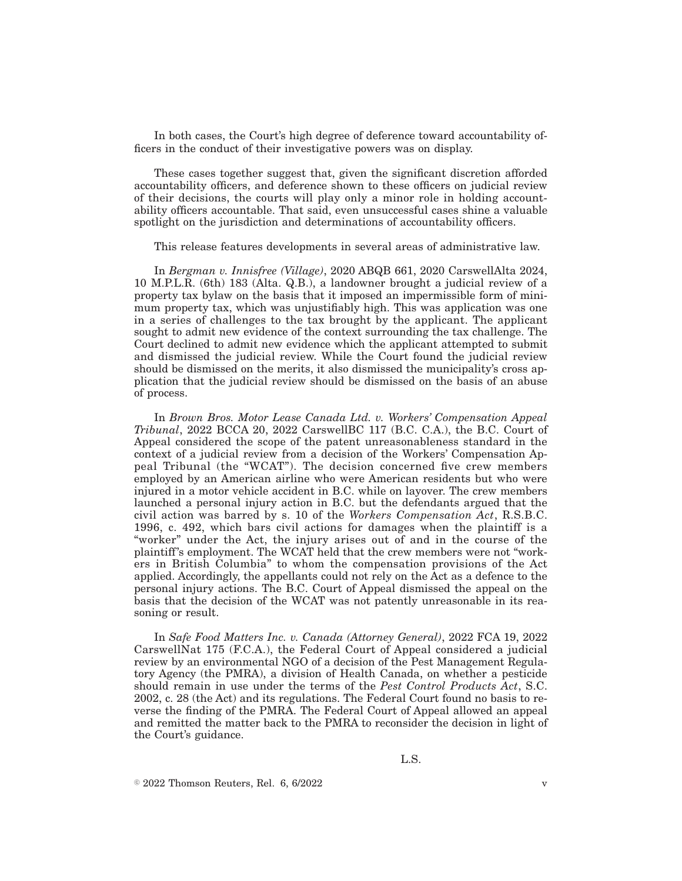In both cases, the Court's high degree of deference toward accountability officers in the conduct of their investigative powers was on display.

These cases together suggest that, given the significant discretion afforded accountability officers, and deference shown to these officers on judicial review of their decisions, the courts will play only a minor role in holding accountability officers accountable. That said, even unsuccessful cases shine a valuable spotlight on the jurisdiction and determinations of accountability officers.

This release features developments in several areas of administrative law.

In *Bergman v. Innisfree (Village)*, 2020 ABQB 661, 2020 CarswellAlta 2024, 10 M.P.L.R. (6th) 183 (Alta. Q.B.), a landowner brought a judicial review of a property tax bylaw on the basis that it imposed an impermissible form of minimum property tax, which was unjustifiably high. This was application was one in a series of challenges to the tax brought by the applicant. The applicant sought to admit new evidence of the context surrounding the tax challenge. The Court declined to admit new evidence which the applicant attempted to submit and dismissed the judicial review. While the Court found the judicial review should be dismissed on the merits, it also dismissed the municipality's cross application that the judicial review should be dismissed on the basis of an abuse of process.

In *Brown Bros. Motor Lease Canada Ltd. v. Workers' Compensation Appeal Tribunal*, 2022 BCCA 20, 2022 CarswellBC 117 (B.C. C.A.), the B.C. Court of Appeal considered the scope of the patent unreasonableness standard in the context of a judicial review from a decision of the Workers' Compensation Appeal Tribunal (the "WCAT"). The decision concerned five crew members employed by an American airline who were American residents but who were injured in a motor vehicle accident in B.C. while on layover. The crew members launched a personal injury action in B.C. but the defendants argued that the civil action was barred by s. 10 of the *Workers Compensation Act*, R.S.B.C. 1996, c. 492, which bars civil actions for damages when the plaintiff is a "worker" under the Act, the injury arises out of and in the course of the plaintiff 's employment. The WCAT held that the crew members were not "workers in British Columbia" to whom the compensation provisions of the Act applied. Accordingly, the appellants could not rely on the Act as a defence to the personal injury actions. The B.C. Court of Appeal dismissed the appeal on the basis that the decision of the WCAT was not patently unreasonable in its reasoning or result.

In *Safe Food Matters Inc. v. Canada (Attorney General)*, 2022 FCA 19, 2022 CarswellNat 175 (F.C.A.), the Federal Court of Appeal considered a judicial review by an environmental NGO of a decision of the Pest Management Regulatory Agency (the PMRA), a division of Health Canada, on whether a pesticide should remain in use under the terms of the *Pest Control Products Act*, S.C. 2002, c. 28 (the Act) and its regulations. The Federal Court found no basis to reverse the finding of the PMRA. The Federal Court of Appeal allowed an appeal and remitted the matter back to the PMRA to reconsider the decision in light of the Court's guidance.

 $\degree$  2022 Thomson Reuters, Rel. 6, 6/2022 v